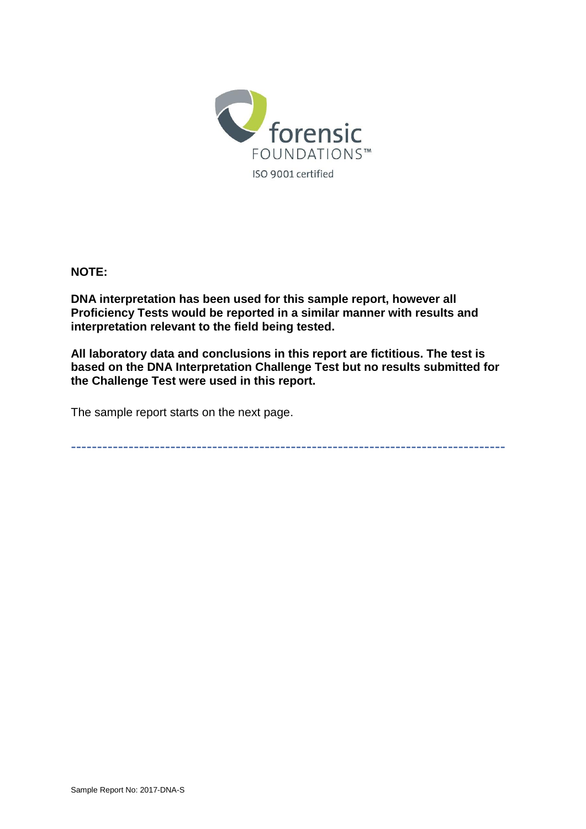

#### **NOTE:**

**DNA interpretation has been used for this sample report, however all Proficiency Tests would be reported in a similar manner with results and interpretation relevant to the field being tested.** 

**All laboratory data and conclusions in this report are fictitious. The test is based on the DNA Interpretation Challenge Test but no results submitted for the Challenge Test were used in this report.** 

The sample report starts on the next page.

-----------------------------------------------------------------------------------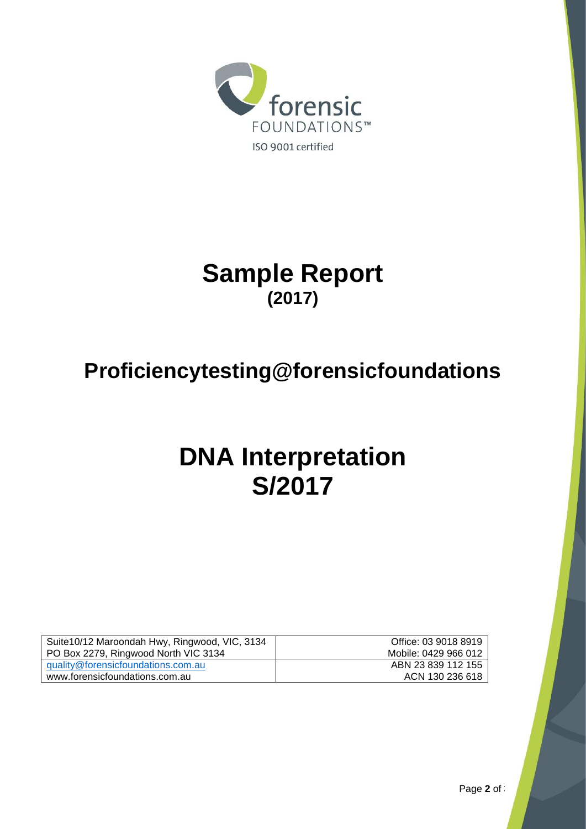

# **Sample Report (2017)**

# **Proficiencytesting@forensicfoundations**

# **DNA Interpretation S/2017**

| Suite 10/12 Maroondah Hwy, Ringwood, VIC, 3134 | Office: 03 9018 8919 |
|------------------------------------------------|----------------------|
| PO Box 2279, Ringwood North VIC 3134           | Mobile: 0429 966 012 |
| guality@forensicfoundations.com.au             | ABN 23 839 112 155   |
| www.forensicfoundations.com.au                 | ACN 130 236 618      |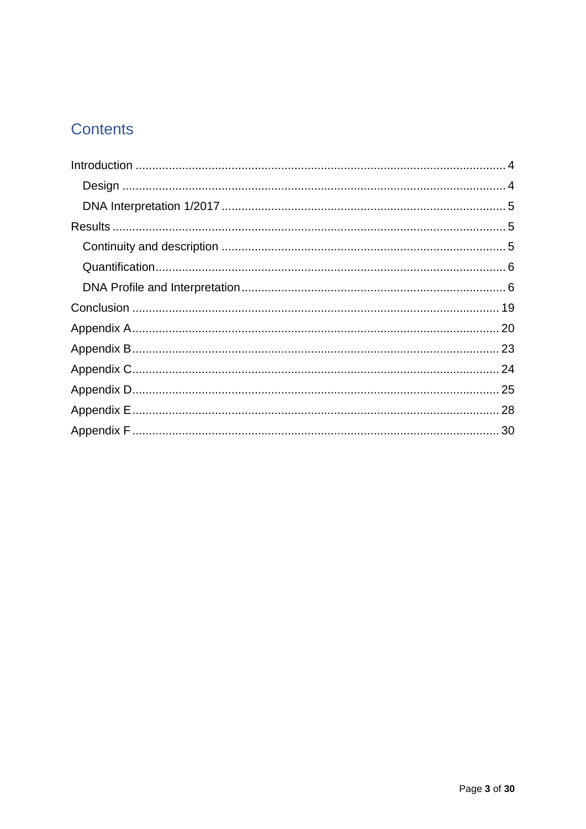# Contents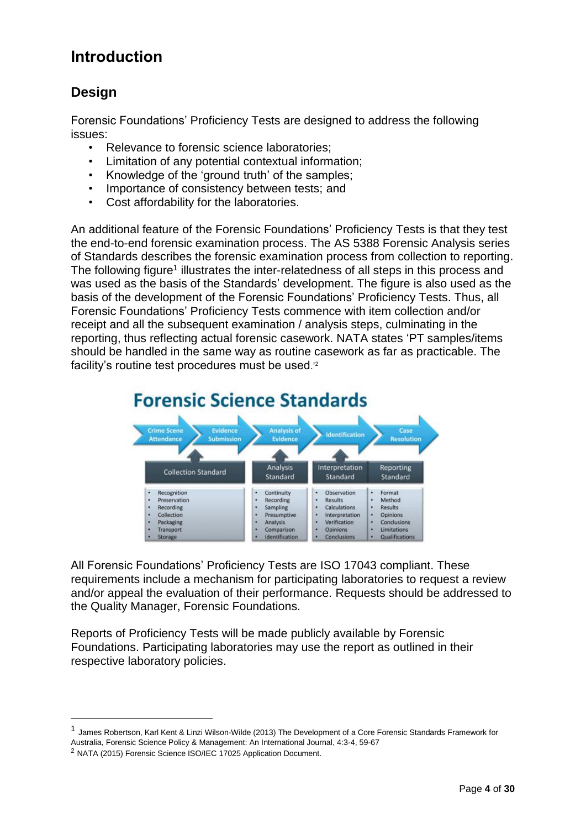### <span id="page-3-0"></span>**Introduction**

### <span id="page-3-1"></span>**Design**

Forensic Foundations' Proficiency Tests are designed to address the following issues:

- Relevance to forensic science laboratories;
- Limitation of any potential contextual information;
- Knowledge of the 'ground truth' of the samples;
- Importance of consistency between tests; and
- Cost affordability for the laboratories.

An additional feature of the Forensic Foundations' Proficiency Tests is that they test the end-to-end forensic examination process. The AS 5388 Forensic Analysis series of Standards describes the forensic examination process from collection to reporting. The following figure<sup>1</sup> illustrates the inter-relatedness of all steps in this process and was used as the basis of the Standards' development. The figure is also used as the basis of the development of the Forensic Foundations' Proficiency Tests. Thus, all Forensic Foundations' Proficiency Tests commence with item collection and/or receipt and all the subsequent examination / analysis steps, culminating in the reporting, thus reflecting actual forensic casework. NATA states 'PT samples/items should be handled in the same way as routine casework as far as practicable. The facility's routine test procedures must be used.<sup>'2</sup>



All Forensic Foundations' Proficiency Tests are ISO 17043 compliant. These requirements include a mechanism for participating laboratories to request a review and/or appeal the evaluation of their performance. Requests should be addressed to the Quality Manager, Forensic Foundations.

Reports of Proficiency Tests will be made publicly available by Forensic Foundations. Participating laboratories may use the report as outlined in their respective laboratory policies.

1

<sup>1</sup> James Robertson, Karl Kent & Linzi Wilson-Wilde (2013) The Development of a Core Forensic Standards Framework for Australia, Forensic Science Policy & Management: An International Journal, 4:3-4, 59-67

<sup>2</sup> NATA (2015) Forensic Science ISO/IEC 17025 Application Document.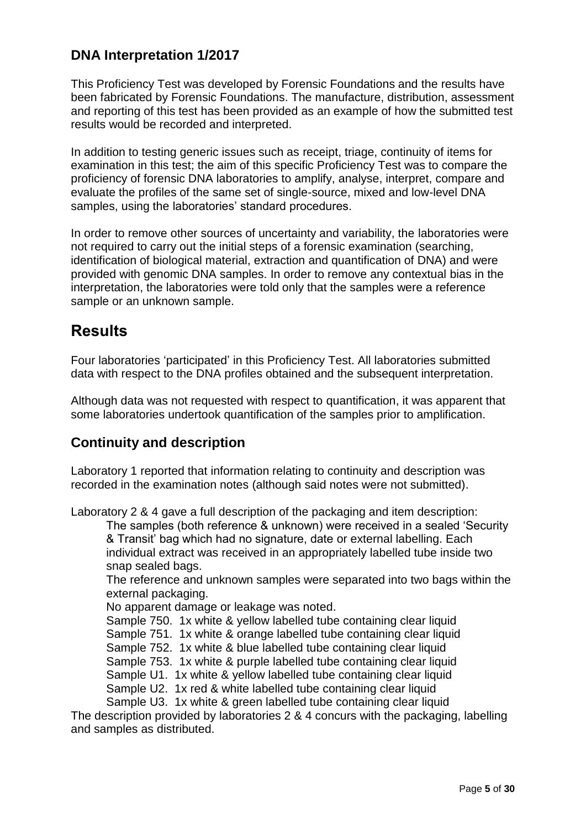### <span id="page-4-0"></span>**DNA Interpretation 1/2017**

This Proficiency Test was developed by Forensic Foundations and the results have been fabricated by Forensic Foundations. The manufacture, distribution, assessment and reporting of this test has been provided as an example of how the submitted test results would be recorded and interpreted.

In addition to testing generic issues such as receipt, triage, continuity of items for examination in this test; the aim of this specific Proficiency Test was to compare the proficiency of forensic DNA laboratories to amplify, analyse, interpret, compare and evaluate the profiles of the same set of single-source, mixed and low-level DNA samples, using the laboratories' standard procedures.

In order to remove other sources of uncertainty and variability, the laboratories were not required to carry out the initial steps of a forensic examination (searching, identification of biological material, extraction and quantification of DNA) and were provided with genomic DNA samples. In order to remove any contextual bias in the interpretation, the laboratories were told only that the samples were a reference sample or an unknown sample.

### <span id="page-4-1"></span>**Results**

Four laboratories 'participated' in this Proficiency Test. All laboratories submitted data with respect to the DNA profiles obtained and the subsequent interpretation.

Although data was not requested with respect to quantification, it was apparent that some laboratories undertook quantification of the samples prior to amplification.

### <span id="page-4-2"></span>**Continuity and description**

Laboratory 1 reported that information relating to continuity and description was recorded in the examination notes (although said notes were not submitted).

Laboratory 2 & 4 gave a full description of the packaging and item description:

The samples (both reference & unknown) were received in a sealed 'Security & Transit' bag which had no signature, date or external labelling. Each individual extract was received in an appropriately labelled tube inside two snap sealed bags.

The reference and unknown samples were separated into two bags within the external packaging.

No apparent damage or leakage was noted.

Sample 750. 1x white & yellow labelled tube containing clear liquid

Sample 751. 1x white & orange labelled tube containing clear liquid

Sample 752. 1x white & blue labelled tube containing clear liquid

Sample 753. 1x white & purple labelled tube containing clear liquid

Sample U1. 1x white & yellow labelled tube containing clear liquid

Sample U2. 1x red & white labelled tube containing clear liquid

Sample U3. 1x white & green labelled tube containing clear liquid

The description provided by laboratories 2 & 4 concurs with the packaging, labelling and samples as distributed.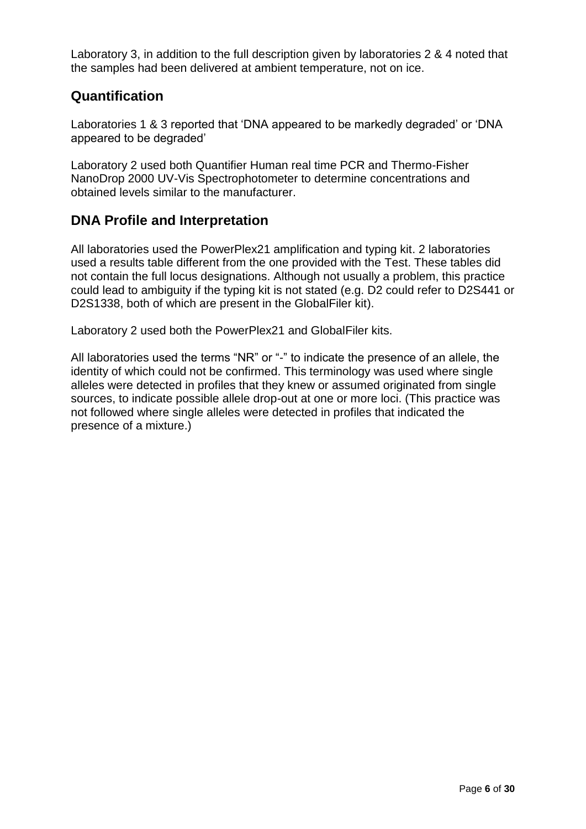Laboratory 3, in addition to the full description given by laboratories 2 & 4 noted that the samples had been delivered at ambient temperature, not on ice.

### <span id="page-5-0"></span>**Quantification**

Laboratories 1 & 3 reported that 'DNA appeared to be markedly degraded' or 'DNA appeared to be degraded'

Laboratory 2 used both Quantifier Human real time PCR and Thermo-Fisher NanoDrop 2000 UV-Vis Spectrophotometer to determine concentrations and obtained levels similar to the manufacturer.

### <span id="page-5-1"></span>**DNA Profile and Interpretation**

All laboratories used the PowerPlex21 amplification and typing kit. 2 laboratories used a results table different from the one provided with the Test. These tables did not contain the full locus designations. Although not usually a problem, this practice could lead to ambiguity if the typing kit is not stated (e.g. D2 could refer to D2S441 or D2S1338, both of which are present in the GlobalFiler kit).

Laboratory 2 used both the PowerPlex21 and GlobalFiler kits.

All laboratories used the terms "NR" or "-" to indicate the presence of an allele, the identity of which could not be confirmed. This terminology was used where single alleles were detected in profiles that they knew or assumed originated from single sources, to indicate possible allele drop-out at one or more loci. (This practice was not followed where single alleles were detected in profiles that indicated the presence of a mixture.)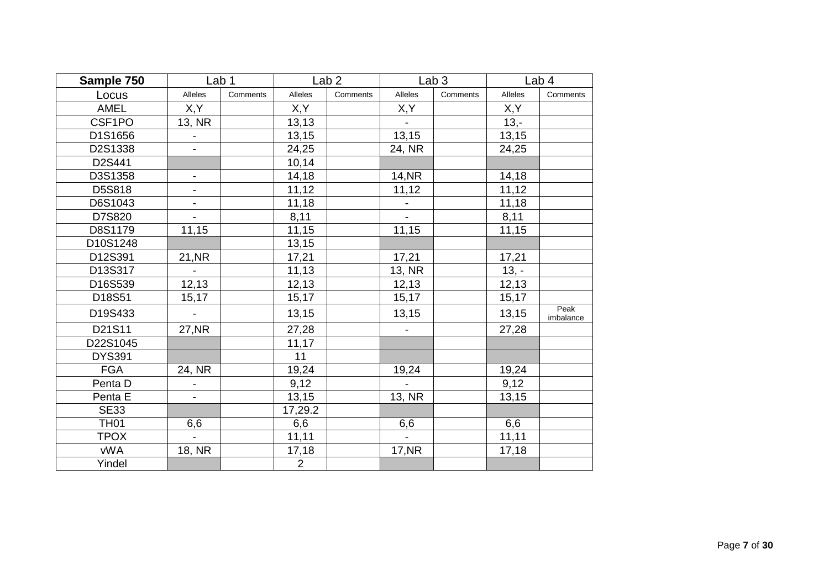| Sample 750    |                              | Lab 1    |                | Lab <sub>2</sub> |                | Lab <sub>3</sub> |         | Lab 4             |
|---------------|------------------------------|----------|----------------|------------------|----------------|------------------|---------|-------------------|
| Locus         | Alleles                      | Comments | Alleles        | Comments         | Alleles        | Comments         | Alleles | Comments          |
| <b>AMEL</b>   | X,Y                          |          | X,Y            |                  | X,Y            |                  | X,Y     |                   |
| CSF1PO        | 13, NR                       |          | 13,13          |                  |                |                  | $13,-$  |                   |
| D1S1656       |                              |          | 13,15          |                  | 13,15          |                  | 13,15   |                   |
| D2S1338       | $\overline{\phantom{0}}$     |          | 24,25          |                  | 24, NR         |                  | 24,25   |                   |
| D2S441        |                              |          | 10,14          |                  |                |                  |         |                   |
| D3S1358       | $\overline{\phantom{0}}$     |          | 14,18          |                  | <b>14, NR</b>  |                  | 14,18   |                   |
| D5S818        | $\overline{\phantom{0}}$     |          | 11,12          |                  | 11,12          |                  | 11,12   |                   |
| D6S1043       | $\qquad \qquad \blacksquare$ |          | 11,18          |                  |                |                  | 11,18   |                   |
| D7S820        |                              |          | 8,11           |                  |                |                  | 8,11    |                   |
| D8S1179       | 11,15                        |          | 11,15          |                  | 11,15          |                  | 11,15   |                   |
| D10S1248      |                              |          | 13,15          |                  |                |                  |         |                   |
| D12S391       | 21, NR                       |          | 17,21          |                  | 17,21          |                  | 17,21   |                   |
| D13S317       |                              |          | 11,13          |                  | 13, NR         |                  | $13, -$ |                   |
| D16S539       | 12, 13                       |          | 12,13          |                  | 12,13          |                  | 12,13   |                   |
| D18S51        | 15,17                        |          | 15,17          |                  | 15,17          |                  | 15,17   |                   |
| D19S433       |                              |          | 13,15          |                  | 13,15          |                  | 13,15   | Peak<br>imbalance |
| D21S11        | 27, NR                       |          | 27,28          |                  |                |                  | 27,28   |                   |
| D22S1045      |                              |          | 11,17          |                  |                |                  |         |                   |
| <b>DYS391</b> |                              |          | 11             |                  |                |                  |         |                   |
| <b>FGA</b>    | 24, NR                       |          | 19,24          |                  | 19,24          |                  | 19,24   |                   |
| Penta D       | $\qquad \qquad \blacksquare$ |          | 9,12           |                  | $\sim$         |                  | 9,12    |                   |
| Penta E       | $\overline{a}$               |          | 13,15          |                  | 13, NR         |                  | 13,15   |                   |
| <b>SE33</b>   |                              |          | 17,29.2        |                  |                |                  |         |                   |
| <b>TH01</b>   | 6,6                          |          | 6,6            |                  | 6,6            |                  | 6,6     |                   |
| <b>TPOX</b>   | $\overline{\phantom{0}}$     |          | 11,11          |                  | $\blacksquare$ |                  | 11,11   |                   |
| <b>vWA</b>    | 18, NR                       |          | 17,18          |                  | <b>17, NR</b>  |                  | 17,18   |                   |
| Yindel        |                              |          | $\overline{2}$ |                  |                |                  |         |                   |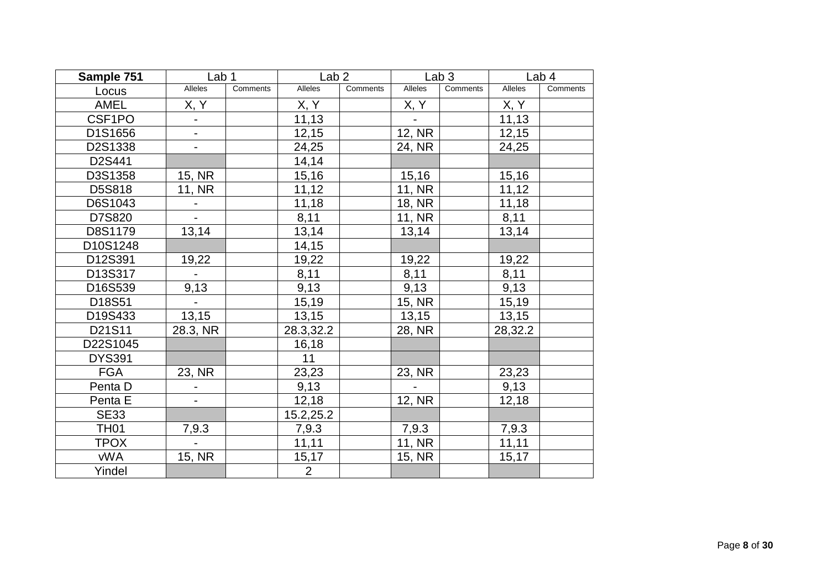| Sample 751    | Lab <sub>1</sub>         |          | Lab <sub>2</sub> |          |                | Lab <sub>3</sub> |                | Lab 4    |
|---------------|--------------------------|----------|------------------|----------|----------------|------------------|----------------|----------|
| Locus         | <b>Alleles</b>           | Comments | <b>Alleles</b>   | Comments | <b>Alleles</b> | Comments         | <b>Alleles</b> | Comments |
| <b>AMEL</b>   | X, Y                     |          | X, Y             |          | <u>X, Y</u>    |                  | X, Y           |          |
| CSF1PO        |                          |          | 11,13            |          |                |                  | 11,13          |          |
| D1S1656       | $\blacksquare$           |          | 12,15            |          | 12, NR         |                  | 12,15          |          |
| D2S1338       | $\overline{\phantom{a}}$ |          | 24,25            |          | 24, NR         |                  | 24,25          |          |
| D2S441        |                          |          | 14,14            |          |                |                  |                |          |
| D3S1358       | 15, NR                   |          | 15,16            |          | 15,16          |                  | 15,16          |          |
| D5S818        | 11, NR                   |          | 11,12            |          | 11, NR         |                  | 11,12          |          |
| D6S1043       |                          |          | 11,18            |          | 18, NR         |                  | 11,18          |          |
| D7S820        |                          |          | 8,11             |          | 11, NR         |                  | 8,11           |          |
| D8S1179       | 13,14                    |          | 13,14            |          | 13,14          |                  | 13,14          |          |
| D10S1248      |                          |          | 14,15            |          |                |                  |                |          |
| D12S391       | 19,22                    |          | 19,22            |          | 19,22          |                  | 19,22          |          |
| D13S317       |                          |          | 8,11             |          | 8,11           |                  | 8,11           |          |
| D16S539       | 9,13                     |          | 9,13             |          | 9,13           |                  | 9,13           |          |
| D18S51        | $\blacksquare$           |          | 15,19            |          | 15, NR         |                  | 15,19          |          |
| D19S433       | 13,15                    |          | 13,15            |          | 13,15          |                  | 13,15          |          |
| D21S11        | 28.3, NR                 |          | 28.3,32.2        |          | 28, NR         |                  | 28,32.2        |          |
| D22S1045      |                          |          | 16,18            |          |                |                  |                |          |
| <b>DYS391</b> |                          |          | 11               |          |                |                  |                |          |
| <b>FGA</b>    | 23, NR                   |          | 23,23            |          | 23, NR         |                  | 23,23          |          |
| Penta D       |                          |          | 9,13             |          |                |                  | 9,13           |          |
| Penta E       |                          |          | 12,18            |          | 12, NR         |                  | 12,18          |          |
| <b>SE33</b>   |                          |          | 15.2,25.2        |          |                |                  |                |          |
| <b>TH01</b>   | 7,9.3                    |          | 7,9.3            |          | 7,9.3          |                  | 7,9.3          |          |
| <b>TPOX</b>   |                          |          | 11,11            |          | 11, NR         |                  | 11,11          |          |
| <b>vWA</b>    | 15, NR                   |          | 15,17            |          | 15, NR         |                  | 15, 17         |          |
| Yindel        |                          |          | $\overline{2}$   |          |                |                  |                |          |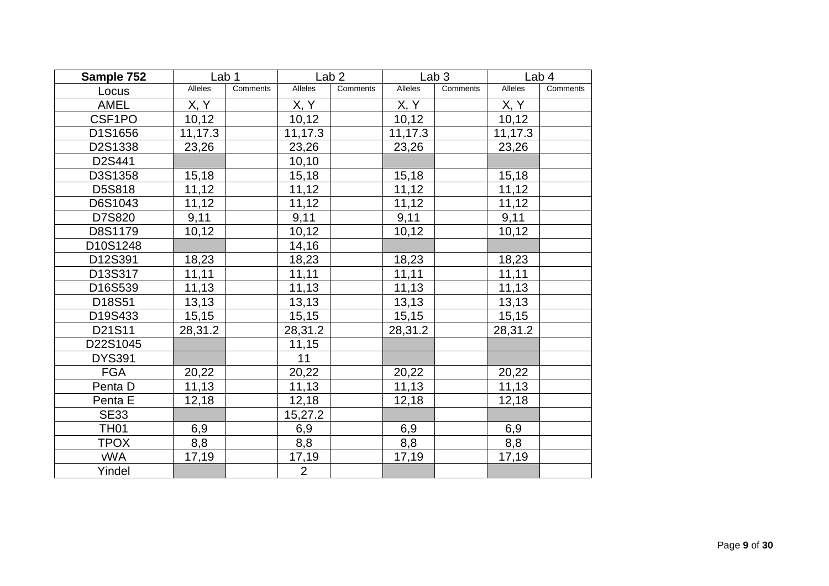| Sample 752    | Lab <sub>1</sub> |          |                | Lab <sub>2</sub> |         | Lab <sub>3</sub> |                | Lab 4    |
|---------------|------------------|----------|----------------|------------------|---------|------------------|----------------|----------|
| Locus         | Alleles          | Comments | <b>Alleles</b> | Comments         | Alleles | Comments         | <b>Alleles</b> | Comments |
| <b>AMEL</b>   | X, Y             |          | X, Y           |                  | X, Y    |                  | X, Y           |          |
| CSF1PO        | 10, 12           |          | 10, 12         |                  | 10, 12  |                  | 10,12          |          |
| D1S1656       | 11,17.3          |          | 11,17.3        |                  | 11,17.3 |                  | 11,17.3        |          |
| D2S1338       | 23,26            |          | 23,26          |                  | 23,26   |                  | 23,26          |          |
| D2S441        |                  |          | 10,10          |                  |         |                  |                |          |
| D3S1358       | 15,18            |          | 15,18          |                  | 15,18   |                  | 15,18          |          |
| D5S818        | 11,12            |          | 11,12          |                  | 11,12   |                  | 11,12          |          |
| D6S1043       | 11,12            |          | 11,12          |                  | 11,12   |                  | 11,12          |          |
| D7S820        | 9,11             |          | 9,11           |                  | 9,11    |                  | 9,11           |          |
| D8S1179       | 10, 12           |          | 10,12          |                  | 10,12   |                  | 10, 12         |          |
| D10S1248      |                  |          | 14,16          |                  |         |                  |                |          |
| D12S391       | 18,23            |          | 18,23          |                  | 18,23   |                  | 18,23          |          |
| D13S317       | 11,11            |          | 11,11          |                  | 11,11   |                  | 11,11          |          |
| D16S539       | 11,13            |          | 11,13          |                  | 11,13   |                  | 11,13          |          |
| D18S51        | 13,13            |          | 13,13          |                  | 13,13   |                  | 13,13          |          |
| D19S433       | 15, 15           |          | 15, 15         |                  | 15, 15  |                  | 15, 15         |          |
| D21S11        | 28,31.2          |          | 28,31.2        |                  | 28,31.2 |                  | 28,31.2        |          |
| D22S1045      |                  |          | 11,15          |                  |         |                  |                |          |
| <b>DYS391</b> |                  |          | 11             |                  |         |                  |                |          |
| <b>FGA</b>    | 20,22            |          | 20,22          |                  | 20,22   |                  | 20,22          |          |
| Penta D       | 11,13            |          | 11,13          |                  | 11,13   |                  | 11,13          |          |
| Penta E       | 12,18            |          | 12,18          |                  | 12,18   |                  | 12,18          |          |
| <b>SE33</b>   |                  |          | 15,27.2        |                  |         |                  |                |          |
| <b>TH01</b>   | 6,9              |          | 6,9            |                  | 6,9     |                  | 6,9            |          |
| <b>TPOX</b>   | 8,8              |          | 8,8            |                  | 8,8     |                  | 8,8            |          |
| <b>vWA</b>    | 17,19            |          | 17,19          |                  | 17,19   |                  | 17,19          |          |
| Yindel        |                  |          | $\overline{2}$ |                  |         |                  |                |          |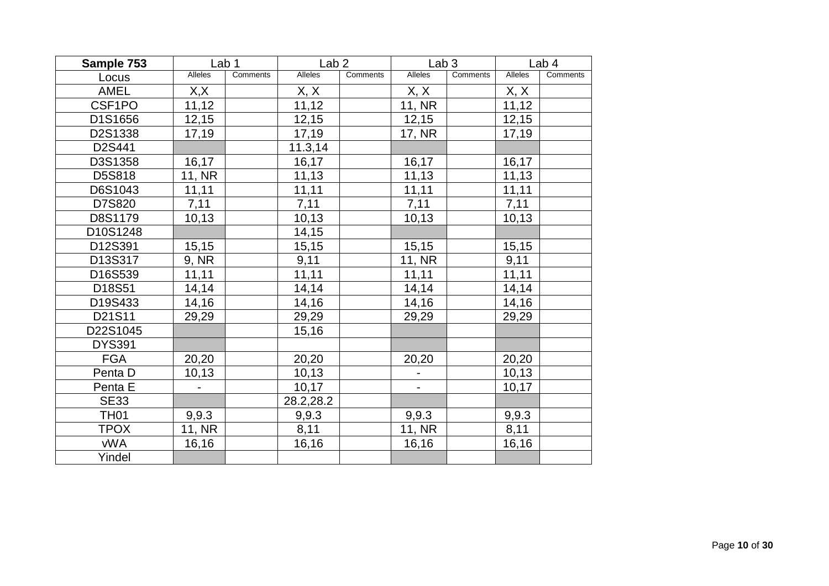| Sample 753    | Lab <sub>1</sub> |          | Lab <sub>2</sub> |          | Lab <sub>3</sub>         |          |                | Lab 4    |
|---------------|------------------|----------|------------------|----------|--------------------------|----------|----------------|----------|
| Locus         | Alleles          | Comments | Alleles          | Comments | Alleles                  | Comments | <b>Alleles</b> | Comments |
| <b>AMEL</b>   | X,X              |          | <u>X, X</u>      |          | X, X                     |          | X, X           |          |
| CSF1PO        | 11,12            |          | 11,12            |          | 11, NR                   |          | 11,12          |          |
| D1S1656       | 12,15            |          | 12,15            |          | 12,15                    |          | 12,15          |          |
| D2S1338       | 17,19            |          | 17,19            |          | 17, NR                   |          | 17,19          |          |
| D2S441        |                  |          | 11.3,14          |          |                          |          |                |          |
| D3S1358       | 16,17            |          | 16,17            |          | 16,17                    |          | 16,17          |          |
| D5S818        | 11, NR           |          | 11,13            |          | 11,13                    |          | 11,13          |          |
| D6S1043       | 11,11            |          | 11,11            |          | 11,11                    |          | 11,11          |          |
| D7S820        | 7,11             |          | 7,11             |          | 7,11                     |          | 7,11           |          |
| D8S1179       | 10, 13           |          | 10,13            |          | 10,13                    |          | 10,13          |          |
| D10S1248      |                  |          | 14,15            |          |                          |          |                |          |
| D12S391       | 15,15            |          | 15,15            |          | 15,15                    |          | 15, 15         |          |
| D13S317       | 9, NR            |          | 9,11             |          | 11, NR                   |          | 9,11           |          |
| D16S539       | 11,11            |          | 11,11            |          | 11,11                    |          | 11,11          |          |
| D18S51        | 14,14            |          | 14,14            |          | 14,14                    |          | 14,14          |          |
| D19S433       | 14,16            |          | 14,16            |          | 14,16                    |          | 14,16          |          |
| D21S11        | 29,29            |          | 29,29            |          | 29,29                    |          | 29,29          |          |
| D22S1045      |                  |          | 15,16            |          |                          |          |                |          |
| <b>DYS391</b> |                  |          |                  |          |                          |          |                |          |
| <b>FGA</b>    | 20,20            |          | 20,20            |          | 20,20                    |          | 20,20          |          |
| Penta D       | 10, 13           |          | 10, 13           |          | $\overline{\phantom{a}}$ |          | 10, 13         |          |
| Penta E       |                  |          | 10,17            |          | $\blacksquare$           |          | 10,17          |          |
| <b>SE33</b>   |                  |          | 28.2,28.2        |          |                          |          |                |          |
| <b>TH01</b>   | 9,9.3            |          | 9,9.3            |          | 9,9.3                    |          | 9,9.3          |          |
| <b>TPOX</b>   | 11, NR           |          | 8,11             |          | 11, NR                   |          | 8,11           |          |
| <b>vWA</b>    | 16,16            |          | 16,16            |          | 16,16                    |          | 16,16          |          |
| Yindel        |                  |          |                  |          |                          |          |                |          |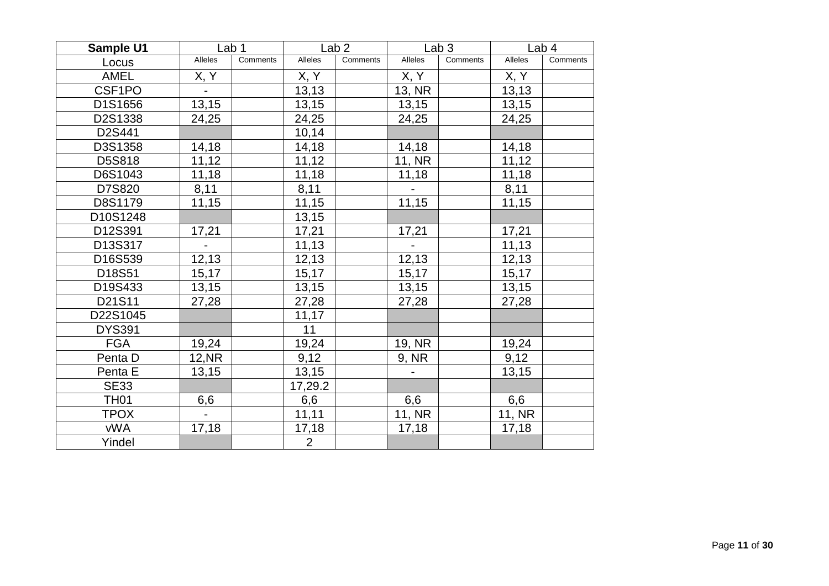| <b>Sample U1</b> |                              | Lab 1    |                | Lab <sub>2</sub> |                | Lab <sub>3</sub> |         | Lab <sub>4</sub> |
|------------------|------------------------------|----------|----------------|------------------|----------------|------------------|---------|------------------|
| Locus            | Alleles                      | Comments | <b>Alleles</b> | Comments         | Alleles        | Comments         | Alleles | Comments         |
| <b>AMEL</b>      | X, Y                         |          | X, Y           |                  | X, Y           |                  | X, Y    |                  |
| CSF1PO           |                              |          | 13,13          |                  | 13, NR         |                  | 13,13   |                  |
| D1S1656          | 13,15                        |          | 13,15          |                  | 13,15          |                  | 13,15   |                  |
| D2S1338          | 24,25                        |          | 24,25          |                  | 24,25          |                  | 24,25   |                  |
| D2S441           |                              |          | 10,14          |                  |                |                  |         |                  |
| D3S1358          | 14, 18                       |          | 14,18          |                  | 14,18          |                  | 14,18   |                  |
| D5S818           | 11,12                        |          | 11,12          |                  | 11, NR         |                  | 11,12   |                  |
| D6S1043          | 11,18                        |          | 11,18          |                  | 11,18          |                  | 11,18   |                  |
| D7S820           | 8,11                         |          | 8,11           |                  |                |                  | 8,11    |                  |
| D8S1179          | 11,15                        |          | 11,15          |                  | 11,15          |                  | 11,15   |                  |
| D10S1248         |                              |          | 13,15          |                  |                |                  |         |                  |
| D12S391          | 17,21                        |          | 17,21          |                  | 17,21          |                  | 17,21   |                  |
| D13S317          |                              |          | 11,13          |                  | $\blacksquare$ |                  | 11,13   |                  |
| D16S539          | 12, 13                       |          | 12,13          |                  | 12,13          |                  | 12, 13  |                  |
| D18S51           | 15, 17                       |          | 15,17          |                  | 15,17          |                  | 15,17   |                  |
| D19S433          | 13,15                        |          | 13,15          |                  | 13,15          |                  | 13,15   |                  |
| D21S11           | 27,28                        |          | 27,28          |                  | 27,28          |                  | 27,28   |                  |
| D22S1045         |                              |          | 11,17          |                  |                |                  |         |                  |
| <b>DYS391</b>    |                              |          | 11             |                  |                |                  |         |                  |
| <b>FGA</b>       | 19,24                        |          | 19,24          |                  | 19, NR         |                  | 19,24   |                  |
| Penta D          | 12, NR                       |          | 9,12           |                  | 9, NR          |                  | 9,12    |                  |
| Penta E          | 13,15                        |          | 13,15          |                  |                |                  | 13,15   |                  |
| <b>SE33</b>      |                              |          | 17,29.2        |                  |                |                  |         |                  |
| <b>TH01</b>      | 6,6                          |          | 6,6            |                  | 6,6            |                  | 6,6     |                  |
| <b>TPOX</b>      | $\qquad \qquad \blacksquare$ |          | 11,11          |                  | 11, NR         |                  | 11, NR  |                  |
| <b>vWA</b>       | 17,18                        |          | 17,18          |                  | 17,18          |                  | 17,18   |                  |
| Yindel           |                              |          | $\overline{2}$ |                  |                |                  |         |                  |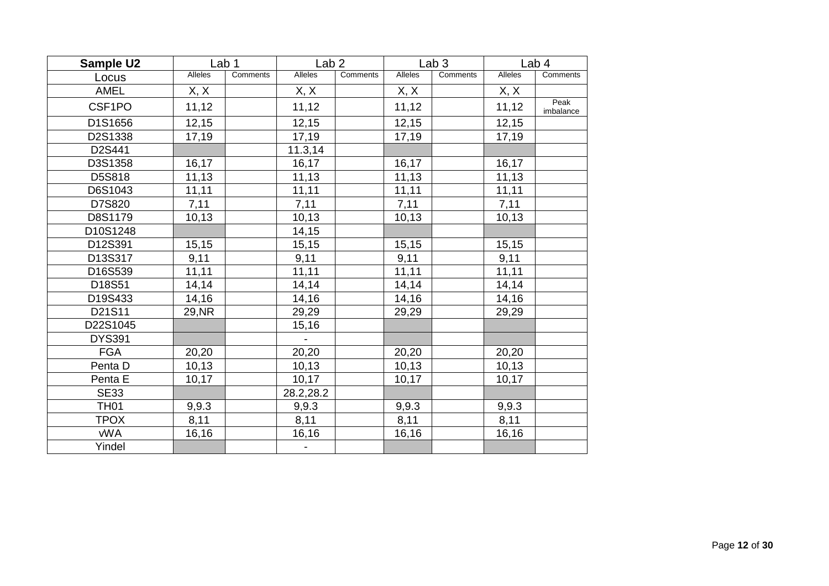| Sample U2     |         | Lab <sub>1</sub> | Lab <sub>2</sub> |          |         | Lab <sub>3</sub> |         | Lab <sub>4</sub>  |
|---------------|---------|------------------|------------------|----------|---------|------------------|---------|-------------------|
| Locus         | Alleles | Comments         | <b>Alleles</b>   | Comments | Alleles | Comments         | Alleles | Comments          |
| <b>AMEL</b>   | X, X    |                  | X, X             |          | X, X    |                  | X, X    |                   |
| CSF1PO        | 11,12   |                  | 11,12            |          | 11,12   |                  | 11,12   | Peak<br>imbalance |
| D1S1656       | 12,15   |                  | 12,15            |          | 12,15   |                  | 12,15   |                   |
| D2S1338       | 17,19   |                  | 17,19            |          | 17,19   |                  | 17,19   |                   |
| D2S441        |         |                  | 11.3,14          |          |         |                  |         |                   |
| D3S1358       | 16,17   |                  | 16,17            |          | 16,17   |                  | 16,17   |                   |
| D5S818        | 11,13   |                  | 11,13            |          | 11,13   |                  | 11,13   |                   |
| D6S1043       | 11,11   |                  | 11,11            |          | 11,11   |                  | 11,11   |                   |
| D7S820        | 7,11    |                  | 7,11             |          | 7,11    |                  | 7,11    |                   |
| D8S1179       | 10,13   |                  | 10,13            |          | 10,13   |                  | 10,13   |                   |
| D10S1248      |         |                  | 14,15            |          |         |                  |         |                   |
| D12S391       | 15, 15  |                  | 15,15            |          | 15,15   |                  | 15,15   |                   |
| D13S317       | 9,11    |                  | 9,11             |          | 9,11    |                  | 9,11    |                   |
| D16S539       | 11,11   |                  | 11,11            |          | 11,11   |                  | 11,11   |                   |
| D18S51        | 14,14   |                  | 14,14            |          | 14,14   |                  | 14,14   |                   |
| D19S433       | 14,16   |                  | 14,16            |          | 14,16   |                  | 14,16   |                   |
| D21S11        | 29, NR  |                  | 29,29            |          | 29,29   |                  | 29,29   |                   |
| D22S1045      |         |                  | 15,16            |          |         |                  |         |                   |
| <b>DYS391</b> |         |                  |                  |          |         |                  |         |                   |
| <b>FGA</b>    | 20,20   |                  | 20,20            |          | 20,20   |                  | 20,20   |                   |
| Penta D       | 10, 13  |                  | 10,13            |          | 10,13   |                  | 10, 13  |                   |
| Penta E       | 10,17   |                  | 10,17            |          | 10,17   |                  | 10,17   |                   |
| <b>SE33</b>   |         |                  | 28.2,28.2        |          |         |                  |         |                   |
| <b>TH01</b>   | 9,9.3   |                  | 9,9.3            |          | 9,9.3   |                  | 9,9.3   |                   |
| <b>TPOX</b>   | 8,11    |                  | 8,11             |          | 8,11    |                  | 8,11    |                   |
| <b>vWA</b>    | 16,16   |                  | 16, 16           |          | 16,16   |                  | 16,16   |                   |
| Yindel        |         |                  |                  |          |         |                  |         |                   |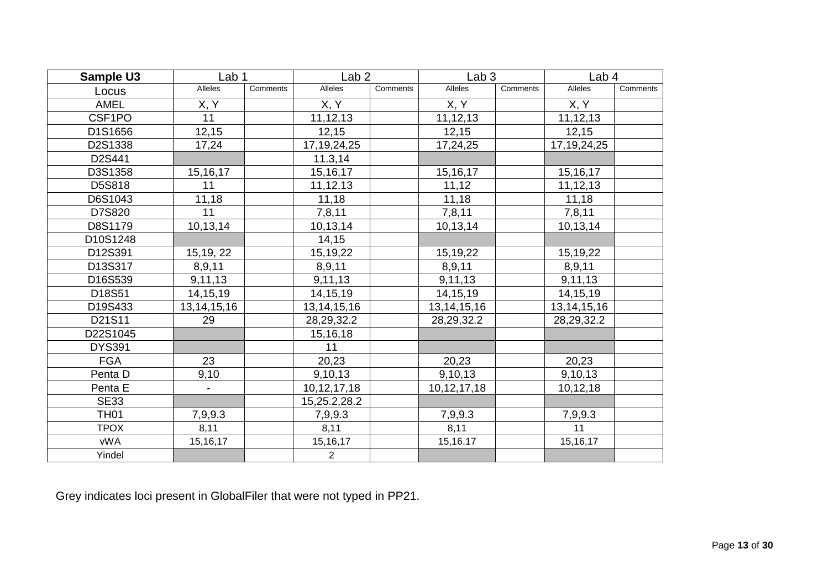| Sample U3     | Lab <sub>1</sub> |                 | Lab <sub>2</sub> |          | Lab <sub>3</sub> |          | Lab <sub>4</sub> |          |
|---------------|------------------|-----------------|------------------|----------|------------------|----------|------------------|----------|
| Locus         | <b>Alleles</b>   | <b>Comments</b> | Alleles          | Comments | Alleles          | Comments | Alleles          | Comments |
| <b>AMEL</b>   | X, Y             |                 | X, Y             |          | X, Y             |          | X, Y             |          |
| CSF1PO        | 11               |                 | 11,12,13         |          | 11,12,13         |          | 11, 12, 13       |          |
| D1S1656       | 12,15            |                 | 12,15            |          | 12,15            |          | 12,15            |          |
| D2S1338       | 17,24            |                 | 17, 19, 24, 25   |          | 17,24,25         |          | 17, 19, 24, 25   |          |
| D2S441        |                  |                 | 11.3, 14         |          |                  |          |                  |          |
| D3S1358       | 15, 16, 17       |                 | 15, 16, 17       |          | 15, 16, 17       |          | 15, 16, 17       |          |
| D5S818        | 11               |                 | 11, 12, 13       |          | 11,12            |          | 11, 12, 13       |          |
| D6S1043       | 11,18            |                 | 11,18            |          | 11,18            |          | 11,18            |          |
| D7S820        | 11               |                 | 7,8,11           |          | 7,8,11           |          | 7,8,11           |          |
| D8S1179       | 10,13,14         |                 | 10,13,14         |          | 10,13,14         |          | 10,13,14         |          |
| D10S1248      |                  |                 | 14, 15           |          |                  |          |                  |          |
| D12S391       | 15, 19, 22       |                 | 15,19,22         |          | 15,19,22         |          | 15, 19, 22       |          |
| D13S317       | 8,9,11           |                 | 8,9,11           |          | 8,9,11           |          | 8,9,11           |          |
| D16S539       | 9,11,13          |                 | 9,11,13          |          | 9,11,13          |          | 9,11,13          |          |
| D18S51        | 14, 15, 19       |                 | 14, 15, 19       |          | 14, 15, 19       |          | 14, 15, 19       |          |
| D19S433       | 13, 14, 15, 16   |                 | 13, 14, 15, 16   |          | 13, 14, 15, 16   |          | 13, 14, 15, 16   |          |
| D21S11        | 29               |                 | 28, 29, 32. 2    |          | 28, 29, 32. 2    |          | 28, 29, 32. 2    |          |
| D22S1045      |                  |                 | 15,16,18         |          |                  |          |                  |          |
| <b>DYS391</b> |                  |                 | 11               |          |                  |          |                  |          |
| <b>FGA</b>    | 23               |                 | 20,23            |          | 20,23            |          | 20,23            |          |
| Penta D       | 9,10             |                 | 9,10,13          |          | 9,10,13          |          | 9,10,13          |          |
| Penta E       |                  |                 | 10, 12, 17, 18   |          | 10, 12, 17, 18   |          | 10,12,18         |          |
| <b>SE33</b>   |                  |                 | 15,25.2,28.2     |          |                  |          |                  |          |
| <b>TH01</b>   | 7,9,9.3          |                 | 7,9,9.3          |          | 7,9,9.3          |          | 7,9,9.3          |          |
| <b>TPOX</b>   | 8,11             |                 | 8,11             |          | 8,11             |          | 11               |          |
| <b>vWA</b>    | 15, 16, 17       |                 | 15, 16, 17       |          | 15, 16, 17       |          | 15,16,17         |          |
| Yindel        |                  |                 | $\overline{2}$   |          |                  |          |                  |          |

Grey indicates loci present in GlobalFiler that were not typed in PP21.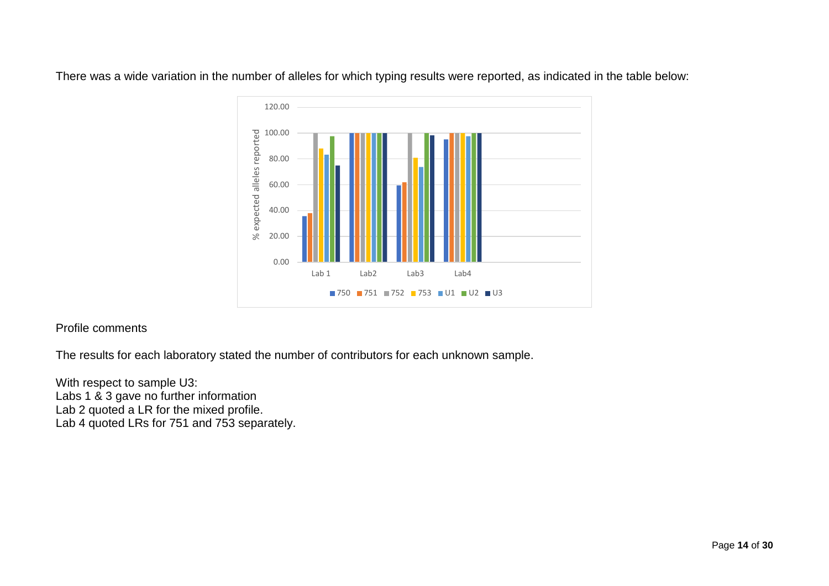

There was a wide variation in the number of alleles for which typing results were reported, as indicated in the table below:

#### Profile comments

The results for each laboratory stated the number of contributors for each unknown sample.

With respect to sample U3: Labs 1 & 3 gave no further information Lab 2 quoted a LR for the mixed profile. Lab 4 quoted LRs for 751 and 753 separately.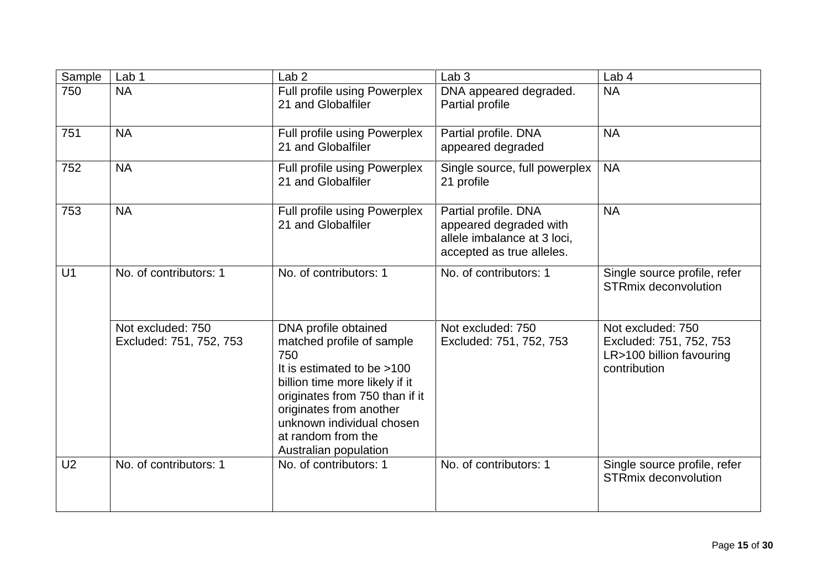| Sample         | Lab 1                                        | Lab <sub>2</sub>                                                                                                                                                                                                                                                  | Lab <sub>3</sub>                                                                                           | Lab 4                                                                                    |
|----------------|----------------------------------------------|-------------------------------------------------------------------------------------------------------------------------------------------------------------------------------------------------------------------------------------------------------------------|------------------------------------------------------------------------------------------------------------|------------------------------------------------------------------------------------------|
| 750            | <b>NA</b>                                    | Full profile using Powerplex<br>21 and Globalfiler                                                                                                                                                                                                                | DNA appeared degraded.<br>Partial profile                                                                  | <b>NA</b>                                                                                |
| 751            | <b>NA</b>                                    | Full profile using Powerplex<br>21 and Globalfiler                                                                                                                                                                                                                | Partial profile. DNA<br>appeared degraded                                                                  | <b>NA</b>                                                                                |
| 752            | <b>NA</b>                                    | Full profile using Powerplex<br>21 and Globalfiler                                                                                                                                                                                                                | Single source, full powerplex<br>21 profile                                                                | <b>NA</b>                                                                                |
| 753            | <b>NA</b>                                    | Full profile using Powerplex<br>21 and Globalfiler                                                                                                                                                                                                                | Partial profile. DNA<br>appeared degraded with<br>allele imbalance at 3 loci,<br>accepted as true alleles. | <b>NA</b>                                                                                |
| U <sub>1</sub> | No. of contributors: 1                       | No. of contributors: 1                                                                                                                                                                                                                                            | No. of contributors: 1                                                                                     | Single source profile, refer<br><b>STRmix deconvolution</b>                              |
|                | Not excluded: 750<br>Excluded: 751, 752, 753 | DNA profile obtained<br>matched profile of sample<br>750<br>It is estimated to be >100<br>billion time more likely if it<br>originates from 750 than if it<br>originates from another<br>unknown individual chosen<br>at random from the<br>Australian population | Not excluded: 750<br>Excluded: 751, 752, 753                                                               | Not excluded: 750<br>Excluded: 751, 752, 753<br>LR>100 billion favouring<br>contribution |
| U <sub>2</sub> | No. of contributors: 1                       | No. of contributors: 1                                                                                                                                                                                                                                            | No. of contributors: 1                                                                                     | Single source profile, refer<br><b>STRmix deconvolution</b>                              |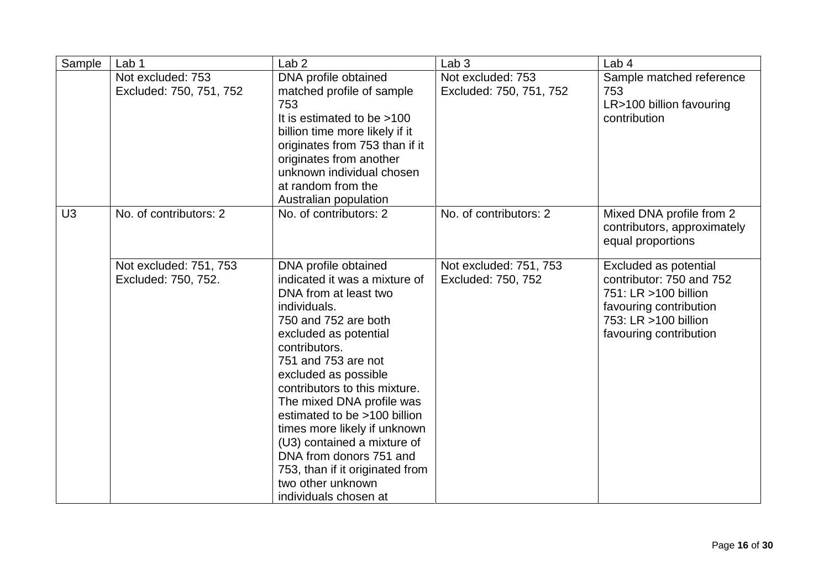| Sample         | Lab <sub>1</sub>                              | Lab <sub>2</sub>                                                                                                                                                                                                                                                                                                                                                                                                                                                                         | Lab <sub>3</sub>                             | Lab <sub>4</sub>                                                                                                                                      |
|----------------|-----------------------------------------------|------------------------------------------------------------------------------------------------------------------------------------------------------------------------------------------------------------------------------------------------------------------------------------------------------------------------------------------------------------------------------------------------------------------------------------------------------------------------------------------|----------------------------------------------|-------------------------------------------------------------------------------------------------------------------------------------------------------|
|                | Not excluded: 753<br>Excluded: 750, 751, 752  | DNA profile obtained<br>matched profile of sample<br>753<br>It is estimated to be >100<br>billion time more likely if it<br>originates from 753 than if it<br>originates from another<br>unknown individual chosen<br>at random from the<br>Australian population                                                                                                                                                                                                                        | Not excluded: 753<br>Excluded: 750, 751, 752 | Sample matched reference<br>753<br>LR>100 billion favouring<br>contribution                                                                           |
| U <sub>3</sub> | No. of contributors: 2                        | No. of contributors: 2                                                                                                                                                                                                                                                                                                                                                                                                                                                                   | No. of contributors: 2                       | Mixed DNA profile from 2<br>contributors, approximately<br>equal proportions                                                                          |
|                | Not excluded: 751, 753<br>Excluded: 750, 752. | DNA profile obtained<br>indicated it was a mixture of<br>DNA from at least two<br>individuals.<br>750 and 752 are both<br>excluded as potential<br>contributors.<br>751 and 753 are not<br>excluded as possible<br>contributors to this mixture.<br>The mixed DNA profile was<br>estimated to be >100 billion<br>times more likely if unknown<br>(U3) contained a mixture of<br>DNA from donors 751 and<br>753, than if it originated from<br>two other unknown<br>individuals chosen at | Not excluded: 751, 753<br>Excluded: 750, 752 | Excluded as potential<br>contributor: 750 and 752<br>751: LR >100 billion<br>favouring contribution<br>753: LR >100 billion<br>favouring contribution |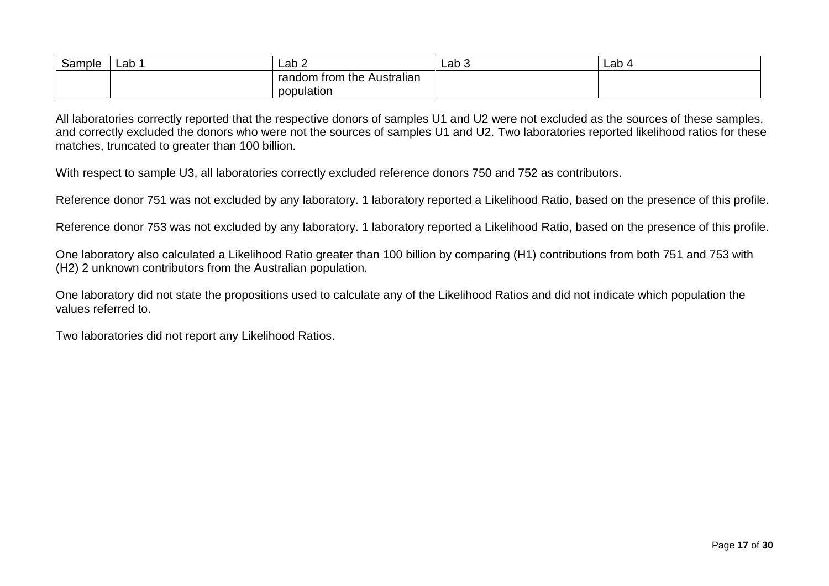| Sample | Lab | $\textsf{Lab} 2$                           | ∟ab 3 | ∟ab ′ |
|--------|-----|--------------------------------------------|-------|-------|
|        |     | . .<br>trom<br>random<br>the<br>Australian |       |       |
|        |     | population                                 |       |       |

All laboratories correctly reported that the respective donors of samples U1 and U2 were not excluded as the sources of these samples, and correctly excluded the donors who were not the sources of samples U1 and U2. Two laboratories reported likelihood ratios for these matches, truncated to greater than 100 billion.

With respect to sample U3, all laboratories correctly excluded reference donors 750 and 752 as contributors.

Reference donor 751 was not excluded by any laboratory. 1 laboratory reported a Likelihood Ratio, based on the presence of this profile.

Reference donor 753 was not excluded by any laboratory. 1 laboratory reported a Likelihood Ratio, based on the presence of this profile.

One laboratory also calculated a Likelihood Ratio greater than 100 billion by comparing (H1) contributions from both 751 and 753 with (H2) 2 unknown contributors from the Australian population.

One laboratory did not state the propositions used to calculate any of the Likelihood Ratios and did not indicate which population the values referred to.

Two laboratories did not report any Likelihood Ratios.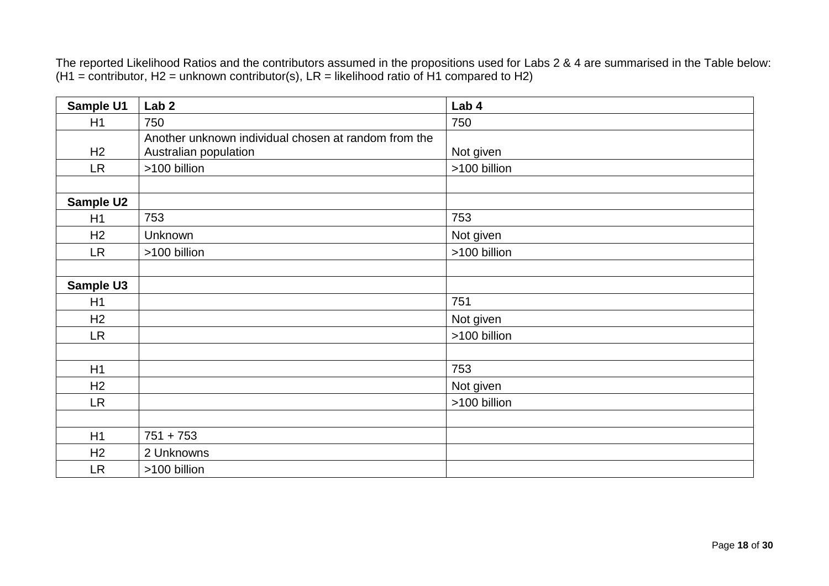The reported Likelihood Ratios and the contributors assumed in the propositions used for Labs 2 & 4 are summarised in the Table below:  $(H1 =$  contributor, H2 = unknown contributor(s), LR = likelihood ratio of H1 compared to H2)

| Sample U1        | Lab <sub>2</sub>                                     | Lab 4        |  |
|------------------|------------------------------------------------------|--------------|--|
| H1               | 750                                                  | 750          |  |
|                  | Another unknown individual chosen at random from the |              |  |
| H2               | Australian population                                | Not given    |  |
| <b>LR</b>        | >100 billion                                         | >100 billion |  |
|                  |                                                      |              |  |
| <b>Sample U2</b> |                                                      |              |  |
| H1               | 753                                                  | 753          |  |
| H <sub>2</sub>   | Unknown                                              | Not given    |  |
| <b>LR</b>        | >100 billion                                         | >100 billion |  |
|                  |                                                      |              |  |
| <b>Sample U3</b> |                                                      |              |  |
| H1               |                                                      | 751          |  |
| H <sub>2</sub>   |                                                      | Not given    |  |
| <b>LR</b>        |                                                      | >100 billion |  |
|                  |                                                      |              |  |
| H1               |                                                      | 753          |  |
| H2               |                                                      | Not given    |  |
| <b>LR</b>        |                                                      | >100 billion |  |
|                  |                                                      |              |  |
| H1               | $751 + 753$                                          |              |  |
| H <sub>2</sub>   | 2 Unknowns                                           |              |  |
| <b>LR</b>        | >100 billion                                         |              |  |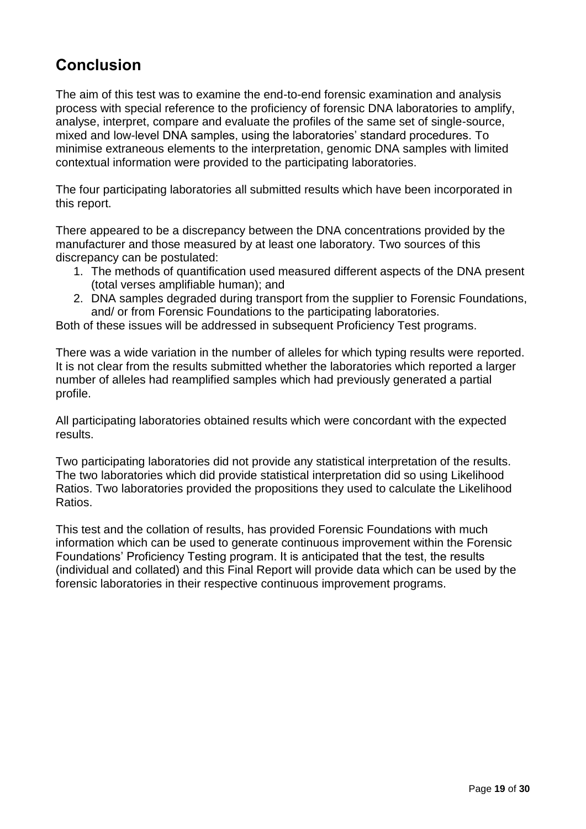### <span id="page-18-0"></span>**Conclusion**

The aim of this test was to examine the end-to-end forensic examination and analysis process with special reference to the proficiency of forensic DNA laboratories to amplify, analyse, interpret, compare and evaluate the profiles of the same set of single-source, mixed and low-level DNA samples, using the laboratories' standard procedures. To minimise extraneous elements to the interpretation, genomic DNA samples with limited contextual information were provided to the participating laboratories.

The four participating laboratories all submitted results which have been incorporated in this report.

There appeared to be a discrepancy between the DNA concentrations provided by the manufacturer and those measured by at least one laboratory. Two sources of this discrepancy can be postulated:

- 1. The methods of quantification used measured different aspects of the DNA present (total verses amplifiable human); and
- 2. DNA samples degraded during transport from the supplier to Forensic Foundations, and/ or from Forensic Foundations to the participating laboratories.

Both of these issues will be addressed in subsequent Proficiency Test programs.

There was a wide variation in the number of alleles for which typing results were reported. It is not clear from the results submitted whether the laboratories which reported a larger number of alleles had reamplified samples which had previously generated a partial profile.

All participating laboratories obtained results which were concordant with the expected results.

Two participating laboratories did not provide any statistical interpretation of the results. The two laboratories which did provide statistical interpretation did so using Likelihood Ratios. Two laboratories provided the propositions they used to calculate the Likelihood Ratios.

This test and the collation of results, has provided Forensic Foundations with much information which can be used to generate continuous improvement within the Forensic Foundations' Proficiency Testing program. It is anticipated that the test, the results (individual and collated) and this Final Report will provide data which can be used by the forensic laboratories in their respective continuous improvement programs.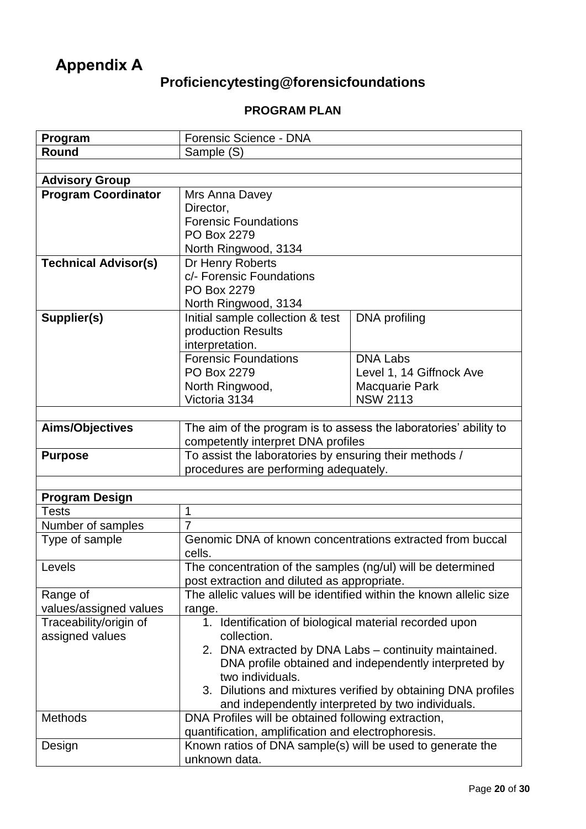# <span id="page-19-0"></span>**Appendix A**

## **Proficiencytesting@forensicfoundations**

### **PROGRAM PLAN**

| Program                     | Forensic Science - DNA                                                |                                                              |  |
|-----------------------------|-----------------------------------------------------------------------|--------------------------------------------------------------|--|
| Round                       | Sample (S)                                                            |                                                              |  |
|                             |                                                                       |                                                              |  |
| <b>Advisory Group</b>       |                                                                       |                                                              |  |
| <b>Program Coordinator</b>  | Mrs Anna Davey                                                        |                                                              |  |
|                             | Director,                                                             |                                                              |  |
|                             | <b>Forensic Foundations</b>                                           |                                                              |  |
|                             | PO Box 2279                                                           |                                                              |  |
|                             | North Ringwood, 3134                                                  |                                                              |  |
| <b>Technical Advisor(s)</b> | Dr Henry Roberts                                                      |                                                              |  |
|                             | c/- Forensic Foundations                                              |                                                              |  |
|                             | PO Box 2279                                                           |                                                              |  |
|                             | North Ringwood, 3134                                                  |                                                              |  |
| Supplier(s)                 | Initial sample collection & test                                      | DNA profiling                                                |  |
|                             | production Results                                                    |                                                              |  |
|                             | interpretation.                                                       |                                                              |  |
|                             | <b>Forensic Foundations</b>                                           | <b>DNA Labs</b>                                              |  |
|                             | PO Box 2279                                                           | Level 1, 14 Giffnock Ave                                     |  |
|                             | North Ringwood,                                                       | <b>Macquarie Park</b>                                        |  |
|                             | Victoria 3134                                                         | <b>NSW 2113</b>                                              |  |
|                             |                                                                       |                                                              |  |
| Aims/Objectives             | The aim of the program is to assess the laboratories' ability to      |                                                              |  |
|                             | competently interpret DNA profiles                                    |                                                              |  |
|                             |                                                                       |                                                              |  |
| <b>Purpose</b>              | To assist the laboratories by ensuring their methods /                |                                                              |  |
|                             | procedures are performing adequately.                                 |                                                              |  |
|                             |                                                                       |                                                              |  |
| <b>Program Design</b>       |                                                                       |                                                              |  |
| <b>Tests</b>                | 1                                                                     |                                                              |  |
| Number of samples           | $\overline{7}$                                                        |                                                              |  |
| Type of sample              | Genomic DNA of known concentrations extracted from buccal             |                                                              |  |
|                             | cells.                                                                |                                                              |  |
| Levels                      | The concentration of the samples (ng/ul) will be determined           |                                                              |  |
|                             | post extraction and diluted as appropriate.                           |                                                              |  |
| Range of                    | The allelic values will be identified within the known allelic size   |                                                              |  |
| values/assigned values      | range.                                                                |                                                              |  |
| Traceability/origin of      | 1. Identification of biological material recorded upon<br>collection. |                                                              |  |
| assigned values             |                                                                       |                                                              |  |
|                             |                                                                       | 2. DNA extracted by DNA Labs - continuity maintained.        |  |
|                             | two individuals.                                                      | DNA profile obtained and independently interpreted by        |  |
|                             |                                                                       | 3. Dilutions and mixtures verified by obtaining DNA profiles |  |
|                             | and independently interpreted by two individuals.                     |                                                              |  |
| <b>Methods</b>              | DNA Profiles will be obtained following extraction,                   |                                                              |  |
|                             | quantification, amplification and electrophoresis.                    |                                                              |  |
| Design                      | Known ratios of DNA sample(s) will be used to generate the            |                                                              |  |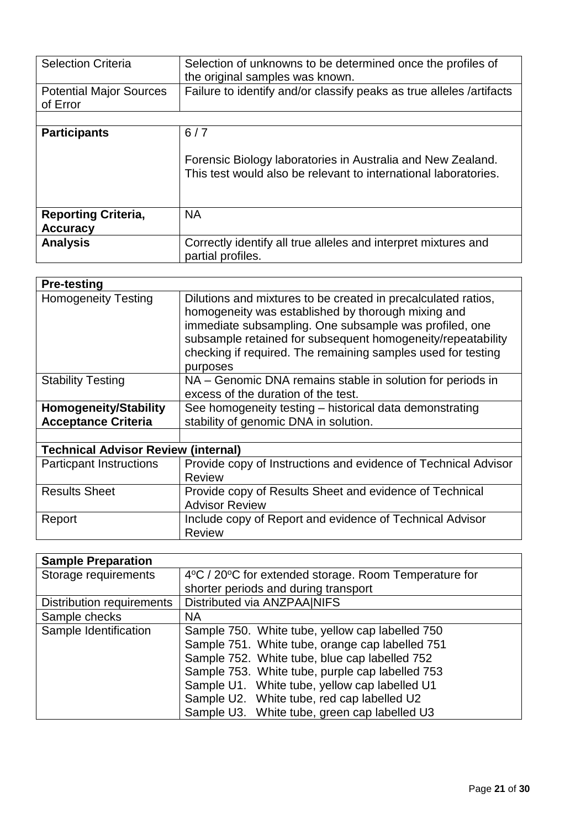| <b>Selection Criteria</b>                     | Selection of unknowns to be determined once the profiles of<br>the original samples was known.                                        |
|-----------------------------------------------|---------------------------------------------------------------------------------------------------------------------------------------|
| <b>Potential Major Sources</b><br>of Error    | Failure to identify and/or classify peaks as true alleles /artifacts                                                                  |
|                                               |                                                                                                                                       |
| <b>Participants</b>                           | 6/7<br>Forensic Biology laboratories in Australia and New Zealand.<br>This test would also be relevant to international laboratories. |
| <b>Reporting Criteria,</b><br><b>Accuracy</b> | <b>NA</b>                                                                                                                             |
| <b>Analysis</b>                               | Correctly identify all true alleles and interpret mixtures and<br>partial profiles.                                                   |

| <b>Pre-testing</b>                         |                                                                                                                                                                                                                                                                                                                          |  |  |  |
|--------------------------------------------|--------------------------------------------------------------------------------------------------------------------------------------------------------------------------------------------------------------------------------------------------------------------------------------------------------------------------|--|--|--|
| <b>Homogeneity Testing</b>                 | Dilutions and mixtures to be created in precalculated ratios,<br>homogeneity was established by thorough mixing and<br>immediate subsampling. One subsample was profiled, one<br>subsample retained for subsequent homogeneity/repeatability<br>checking if required. The remaining samples used for testing<br>purposes |  |  |  |
| <b>Stability Testing</b>                   | NA – Genomic DNA remains stable in solution for periods in<br>excess of the duration of the test.                                                                                                                                                                                                                        |  |  |  |
| <b>Homogeneity/Stability</b>               | See homogeneity testing – historical data demonstrating                                                                                                                                                                                                                                                                  |  |  |  |
| <b>Acceptance Criteria</b>                 | stability of genomic DNA in solution.                                                                                                                                                                                                                                                                                    |  |  |  |
|                                            |                                                                                                                                                                                                                                                                                                                          |  |  |  |
| <b>Technical Advisor Review (internal)</b> |                                                                                                                                                                                                                                                                                                                          |  |  |  |
| <b>Particpant Instructions</b>             | Provide copy of Instructions and evidence of Technical Advisor<br><b>Review</b>                                                                                                                                                                                                                                          |  |  |  |
| <b>Results Sheet</b>                       | Provide copy of Results Sheet and evidence of Technical<br><b>Advisor Review</b>                                                                                                                                                                                                                                         |  |  |  |
| Report                                     | Include copy of Report and evidence of Technical Advisor<br><b>Review</b>                                                                                                                                                                                                                                                |  |  |  |

| <b>Sample Preparation</b>        |                                                       |  |  |
|----------------------------------|-------------------------------------------------------|--|--|
| Storage requirements             | 4°C / 20°C for extended storage. Room Temperature for |  |  |
|                                  | shorter periods and during transport                  |  |  |
| <b>Distribution requirements</b> | Distributed via ANZPAA NIFS                           |  |  |
| Sample checks                    | <b>NA</b>                                             |  |  |
| Sample Identification            | Sample 750. White tube, yellow cap labelled 750       |  |  |
|                                  | Sample 751. White tube, orange cap labelled 751       |  |  |
|                                  | Sample 752. White tube, blue cap labelled 752         |  |  |
|                                  | Sample 753. White tube, purple cap labelled 753       |  |  |
|                                  | Sample U1. White tube, yellow cap labelled U1         |  |  |
|                                  | Sample U2. White tube, red cap labelled U2            |  |  |
|                                  | Sample U3. White tube, green cap labelled U3          |  |  |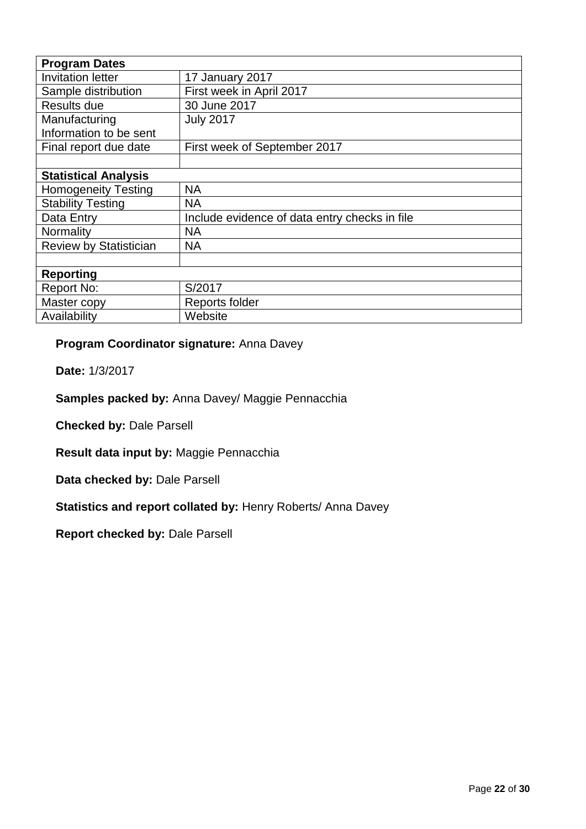| <b>Program Dates</b>                  |                                               |  |  |  |
|---------------------------------------|-----------------------------------------------|--|--|--|
| <b>Invitation letter</b>              | 17 January 2017                               |  |  |  |
| Sample distribution                   | First week in April 2017                      |  |  |  |
| Results due                           | 30 June 2017                                  |  |  |  |
| Manufacturing                         | <b>July 2017</b>                              |  |  |  |
| Information to be sent                |                                               |  |  |  |
| Final report due date                 | First week of September 2017                  |  |  |  |
|                                       |                                               |  |  |  |
| <b>Statistical Analysis</b>           |                                               |  |  |  |
| <b>Homogeneity Testing</b>            | <b>NA</b>                                     |  |  |  |
| <b>Stability Testing</b><br><b>NA</b> |                                               |  |  |  |
| Data Entry                            | Include evidence of data entry checks in file |  |  |  |
| Normality                             | <b>NA</b>                                     |  |  |  |
| <b>Review by Statistician</b>         | <b>NA</b>                                     |  |  |  |
|                                       |                                               |  |  |  |
| <b>Reporting</b>                      |                                               |  |  |  |
| Report No:                            | S/2017                                        |  |  |  |
| Master copy                           | Reports folder                                |  |  |  |
| Availability                          | Website                                       |  |  |  |

### **Program Coordinator signature:** Anna Davey

**Date:** 1/3/2017

### **Samples packed by:** Anna Davey/ Maggie Pennacchia

**Checked by:** Dale Parsell

**Result data input by:** Maggie Pennacchia

**Data checked by:** Dale Parsell

**Statistics and report collated by:** Henry Roberts/ Anna Davey

**Report checked by:** Dale Parsell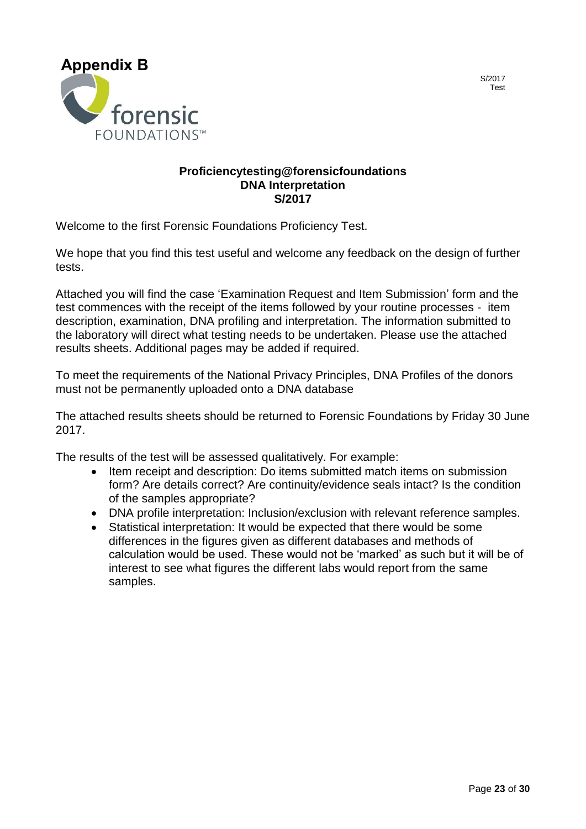<span id="page-22-0"></span>

#### **Proficiencytesting@forensicfoundations DNA Interpretation S/2017**

Welcome to the first Forensic Foundations Proficiency Test.

We hope that you find this test useful and welcome any feedback on the design of further tests.

Attached you will find the case 'Examination Request and Item Submission' form and the test commences with the receipt of the items followed by your routine processes - item description, examination, DNA profiling and interpretation. The information submitted to the laboratory will direct what testing needs to be undertaken. Please use the attached results sheets. Additional pages may be added if required.

To meet the requirements of the National Privacy Principles, DNA Profiles of the donors must not be permanently uploaded onto a DNA database

The attached results sheets should be returned to Forensic Foundations by Friday 30 June 2017.

The results of the test will be assessed qualitatively. For example:

- Item receipt and description: Do items submitted match items on submission form? Are details correct? Are continuity/evidence seals intact? Is the condition of the samples appropriate?
- DNA profile interpretation: Inclusion/exclusion with relevant reference samples.
- Statistical interpretation: It would be expected that there would be some differences in the figures given as different databases and methods of calculation would be used. These would not be 'marked' as such but it will be of interest to see what figures the different labs would report from the same samples.

S/2017 Test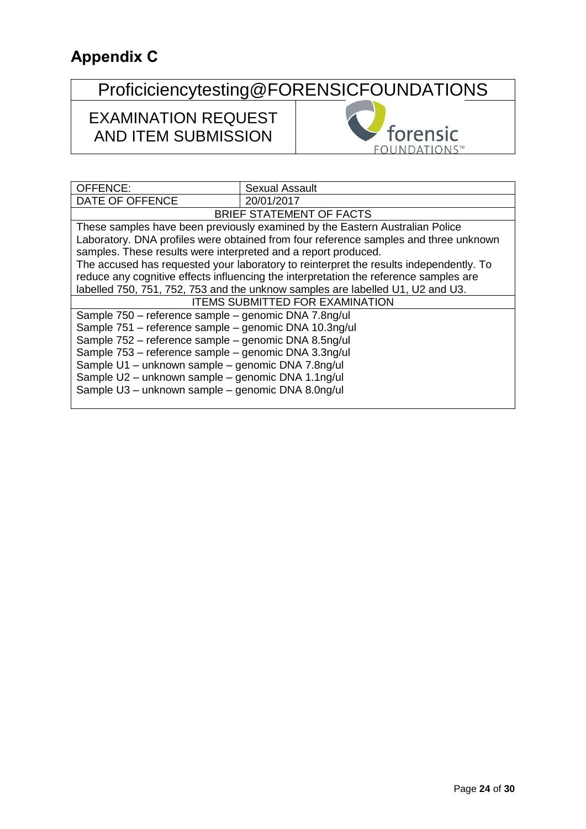# <span id="page-23-0"></span>**Appendix C**

# Proficiciencytesting@FORENSICFOUNDATIONS

### EXAMINATION REQUEST AND ITEM SUBMISSION



| OFFENCE:                                                       | <b>Sexual Assault</b>                                                                  |  |  |  |  |
|----------------------------------------------------------------|----------------------------------------------------------------------------------------|--|--|--|--|
| DATE OF OFFENCE                                                | 20/01/2017                                                                             |  |  |  |  |
|                                                                | BRIEF STATEMENT OF FACTS                                                               |  |  |  |  |
|                                                                | These samples have been previously examined by the Eastern Australian Police           |  |  |  |  |
|                                                                | Laboratory. DNA profiles were obtained from four reference samples and three unknown   |  |  |  |  |
| samples. These results were interpreted and a report produced. |                                                                                        |  |  |  |  |
|                                                                | The accused has requested your laboratory to reinterpret the results independently. To |  |  |  |  |
|                                                                | reduce any cognitive effects influencing the interpretation the reference samples are  |  |  |  |  |
|                                                                | labelled 750, 751, 752, 753 and the unknow samples are labelled U1, U2 and U3.         |  |  |  |  |
| <b>ITEMS SUBMITTED FOR EXAMINATION</b>                         |                                                                                        |  |  |  |  |
| Sample 750 - reference sample - genomic DNA 7.8ng/ul           |                                                                                        |  |  |  |  |
|                                                                | Sample 751 - reference sample - genomic DNA 10.3ng/ul                                  |  |  |  |  |
|                                                                | Sample 752 - reference sample - genomic DNA 8.5ng/ul                                   |  |  |  |  |
| Sample 753 - reference sample - genomic DNA 3.3ng/ul           |                                                                                        |  |  |  |  |
| Sample U1 - unknown sample - genomic DNA 7.8ng/ul              |                                                                                        |  |  |  |  |
| Sample U2 - unknown sample - genomic DNA 1.1ng/ul              |                                                                                        |  |  |  |  |
| Sample U3 - unknown sample - genomic DNA 8.0ng/ul              |                                                                                        |  |  |  |  |
|                                                                |                                                                                        |  |  |  |  |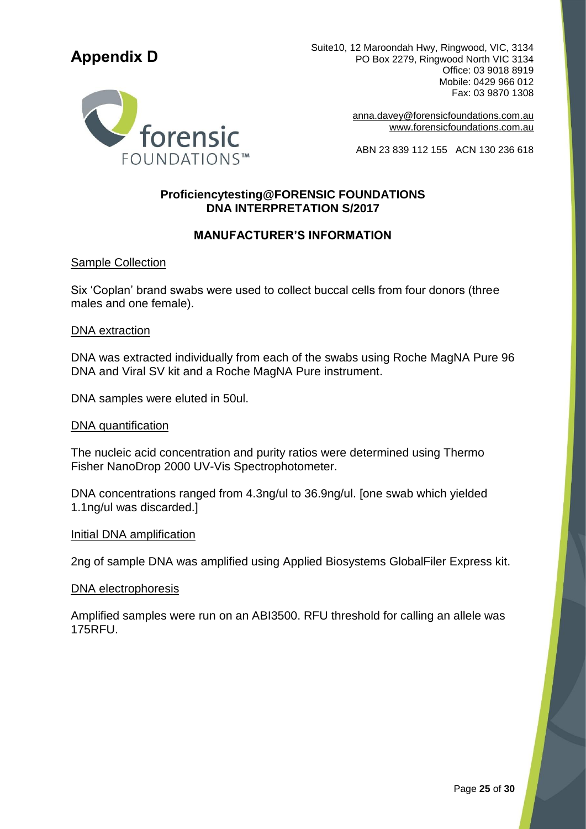## <span id="page-24-0"></span>**Appendix D**



Suite10, 12 Maroondah Hwy, Ringwood, VIC, 3134 PO Box 2279, Ringwood North VIC 3134 Office: 03 9018 8919 Mobile: 0429 966 012 Fax: 03 9870 1308

> [anna.davey@forensicfoundations.com.au](mailto:anna.davey@forensicfoundations.com.auwww.forensicfoundations.com.au) [www.forensicfoundations.com.au](mailto:anna.davey@forensicfoundations.com.auwww.forensicfoundations.com.au)

ABN 23 839 112 155 ACN 130 236 618

#### **Proficiencytesting@FORENSIC FOUNDATIONS DNA INTERPRETATION S/2017**

#### **MANUFACTURER'S INFORMATION**

#### Sample Collection

Six 'Coplan' brand swabs were used to collect buccal cells from four donors (three males and one female).

#### DNA extraction

DNA was extracted individually from each of the swabs using Roche MagNA Pure 96 DNA and Viral SV kit and a Roche MagNA Pure instrument.

DNA samples were eluted in 50ul.

#### DNA quantification

The nucleic acid concentration and purity ratios were determined using Thermo Fisher NanoDrop 2000 UV-Vis Spectrophotometer.

DNA concentrations ranged from 4.3ng/ul to 36.9ng/ul. [one swab which yielded 1.1ng/ul was discarded.]

#### Initial DNA amplification

2ng of sample DNA was amplified using Applied Biosystems GlobalFiler Express kit.

#### DNA electrophoresis

Amplified samples were run on an ABI3500. RFU threshold for calling an allele was 175RFU.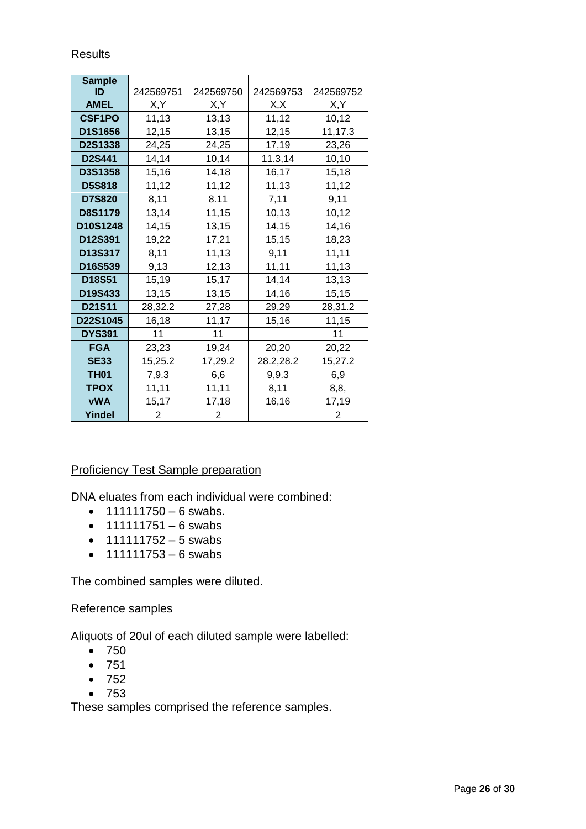| <b>Sample</b>  |           |           |           |           |
|----------------|-----------|-----------|-----------|-----------|
| ID             | 242569751 | 242569750 | 242569753 | 242569752 |
| <b>AMEL</b>    | X,Y       | X,Y       | X,X       | X,Y       |
| <b>CSF1PO</b>  | 11,13     | 13,13     | 11,12     | 10, 12    |
| D1S1656        | 12,15     | 13,15     | 12,15     | 11,17.3   |
| D2S1338        | 24,25     | 24,25     | 17,19     | 23,26     |
| <b>D2S441</b>  | 14,14     | 10,14     | 11.3,14   | 10, 10    |
| D3S1358        | 15,16     | 14,18     | 16,17     | 15,18     |
| <b>D5S818</b>  | 11,12     | 11,12     | 11,13     | 11,12     |
| <b>D7S820</b>  | 8,11      | 8.11      | 7,11      | 9,11      |
| <b>D8S1179</b> | 13,14     | 11,15     | 10,13     | 10,12     |
| D10S1248       | 14,15     | 13,15     | 14,15     | 14,16     |
| D12S391        | 19,22     | 17,21     | 15,15     | 18,23     |
| D13S317        | 8,11      | 11,13     | 9,11      | 11,11     |
| D16S539        | 9,13      | 12,13     | 11,11     | 11,13     |
| D18S51         | 15,19     | 15,17     | 14,14     | 13,13     |
| D19S433        | 13,15     | 13,15     | 14,16     | 15,15     |
| <b>D21S11</b>  | 28,32.2   | 27,28     | 29,29     | 28,31.2   |
| D22S1045       | 16,18     | 11,17     | 15,16     | 11,15     |
| <b>DYS391</b>  | 11        | 11        |           | 11        |
| <b>FGA</b>     | 23,23     | 19,24     | 20,20     | 20,22     |
| <b>SE33</b>    | 15,25.2   | 17,29.2   | 28.2,28.2 | 15,27.2   |
| <b>TH01</b>    | 7,9.3     | 6,6       | 9,9.3     | 6,9       |
| <b>TPOX</b>    | 11,11     | 11,11     | 8,11      | 8,8,      |
| <b>vWA</b>     | 15,17     | 17,18     | 16,16     | 17,19     |
| Yindel         | 2         | 2         |           | 2         |

#### Results

#### Proficiency Test Sample preparation

DNA eluates from each individual were combined:

- $111111750 6$  swabs.
- $111111751 6$  swabs
- $11111752 5$  swabs
- $11111753 6$  swabs

The combined samples were diluted.

Reference samples

Aliquots of 20ul of each diluted sample were labelled:

- 750
- 751
- 752
- 753

These samples comprised the reference samples.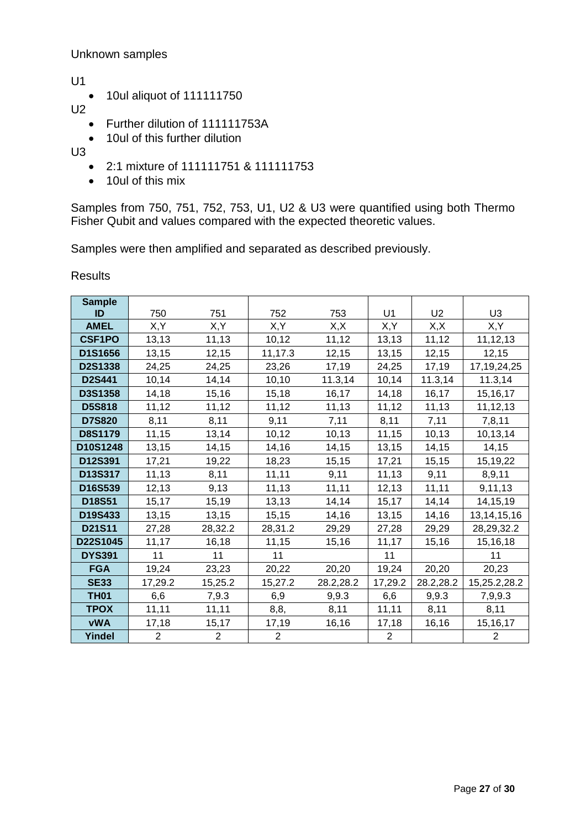#### Unknown samples

U1

• 10ul aliquot of 111111750

U2

- Further dilution of 111111753A
- 10ul of this further dilution

 $U3$ 

- 2:1 mixture of 111111751 & 111111753
- 10ul of this mix

Samples from 750, 751, 752, 753, U1, U2 & U3 were quantified using both Thermo Fisher Qubit and values compared with the expected theoretic values.

Samples were then amplified and separated as described previously.

Results

| <b>Sample</b>  |                |                |                |           |                |                |                |
|----------------|----------------|----------------|----------------|-----------|----------------|----------------|----------------|
| ID             | 750            | 751            | 752            | 753       | U1             | U <sub>2</sub> | U <sub>3</sub> |
| <b>AMEL</b>    | X,Y            | X,Y            | X,Y            | X, X      | X,Y            | X, X           | X,Y            |
| <b>CSF1PO</b>  | 13,13          | 11,13          | 10,12          | 11,12     | 13,13          | 11,12          | 11,12,13       |
| D1S1656        | 13,15          | 12,15          | 11,17.3        | 12,15     | 13,15          | 12,15          | 12,15          |
| D2S1338        | 24,25          | 24,25          | 23,26          | 17,19     | 24,25          | 17,19          | 17, 19, 24, 25 |
| D2S441         | 10,14          | 14,14          | 10, 10         | 11.3,14   | 10,14          | 11.3,14        | 11.3,14        |
| D3S1358        | 14,18          | 15,16          | 15,18          | 16,17     | 14,18          | 16,17          | 15,16,17       |
| <b>D5S818</b>  | 11,12          | 11,12          | 11,12          | 11,13     | 11,12          | 11,13          | 11,12,13       |
| <b>D7S820</b>  | 8,11           | 8,11           | 9,11           | 7,11      | 8,11           | 7,11           | 7,8,11         |
| <b>D8S1179</b> | 11,15          | 13,14          | 10,12          | 10, 13    | 11,15          | 10, 13         | 10,13,14       |
| D10S1248       | 13,15          | 14, 15         | 14,16          | 14,15     | 13,15          | 14,15          | 14, 15         |
| D12S391        | 17,21          | 19,22          | 18,23          | 15,15     | 17,21          | 15, 15         | 15,19,22       |
| D13S317        | 11,13          | 8,11           | 11,11          | 9,11      | 11,13          | 9,11           | 8,9,11         |
| D16S539        | 12, 13         | 9,13           | 11,13          | 11,11     | 12, 13         | 11, 11         | 9,11,13        |
| D18S51         | 15,17          | 15,19          | 13,13          | 14,14     | 15,17          | 14,14          | 14,15,19       |
| D19S433        | 13,15          | 13,15          | 15, 15         | 14,16     | 13,15          | 14,16          | 13, 14, 15, 16 |
| D21S11         | 27,28          | 28,32.2        | 28,31.2        | 29,29     | 27,28          | 29,29          | 28, 29, 32. 2  |
| D22S1045       | 11,17          | 16,18          | 11,15          | 15,16     | 11,17          | 15,16          | 15,16,18       |
| <b>DYS391</b>  | 11             | 11             | 11             |           | 11             |                | 11             |
| <b>FGA</b>     | 19,24          | 23,23          | 20,22          | 20,20     | 19,24          | 20,20          | 20,23          |
| <b>SE33</b>    | 17,29.2        | 15,25.2        | 15,27.2        | 28.2,28.2 | 17,29.2        | 28.2,28.2      | 15,25.2,28.2   |
| <b>TH01</b>    | 6,6            | 7,9.3          | 6,9            | 9,9.3     | 6,6            | 9,9.3          | 7,9,9.3        |
| <b>TPOX</b>    | 11,11          | 11,11          | 8, 8,          | 8,11      | 11,11          | 8,11           | 8,11           |
| <b>vWA</b>     | 17,18          | 15,17          | 17,19          | 16,16     | 17,18          | 16,16          | 15, 16, 17     |
| Yindel         | $\overline{2}$ | $\overline{2}$ | $\overline{2}$ |           | $\overline{2}$ |                | $\overline{2}$ |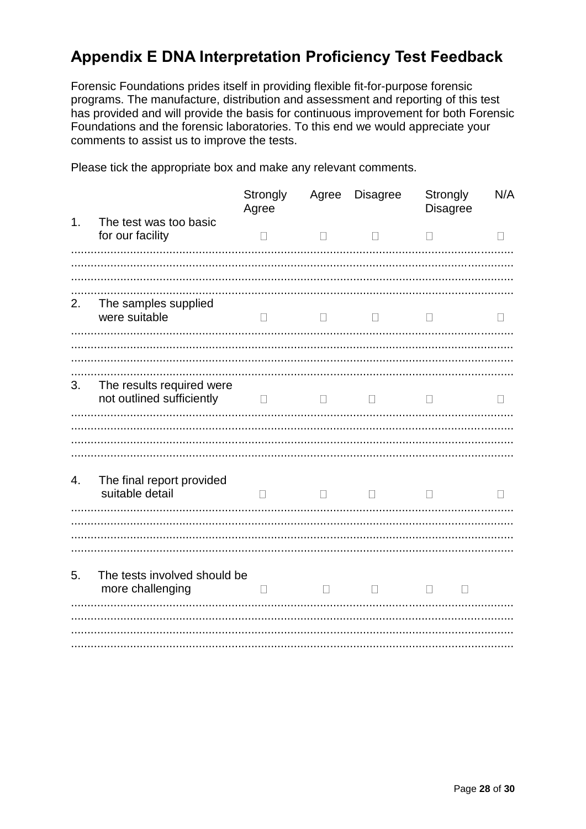### <span id="page-27-0"></span>**Appendix E DNA Interpretation Proficiency Test Feedback**

Forensic Foundations prides itself in providing flexible fit-for-purpose forensic programs. The manufacture, distribution and assessment and reporting of this test has provided and will provide the basis for continuous improvement for both Forensic Foundations and the forensic laboratories. To this end we would appreciate your comments to assist us to improve the tests.

Please tick the appropriate box and make any relevant comments.

|    |                                                        | Strongly<br>Agree |        | Agree Disagree | Strongly<br><b>Disagree</b> | N/A          |
|----|--------------------------------------------------------|-------------------|--------|----------------|-----------------------------|--------------|
| 1. | The test was too basic<br>for our facility             | $\Box$            | $\Box$ | $\Box$         | П                           | П            |
|    |                                                        |                   |        |                |                             |              |
| 2. | The samples supplied<br>were suitable                  | $\Box$            | $\Box$ | $\mathbf{L}$   | $\Box$                      |              |
|    |                                                        |                   |        |                |                             |              |
| 3. | The results required were<br>not outlined sufficiently | $\Box$            | $\Box$ | $\mathbf{L}$   | $\mathbf{L}$                | $\mathbf{L}$ |
|    |                                                        |                   |        |                |                             |              |
| 4. | The final report provided<br>suitable detail           | П                 | $\Box$ | $\Box$         | $\perp$                     | П            |
|    |                                                        |                   |        |                |                             |              |
| 5. | The tests involved should be<br>more challenging       | П                 | $\Box$ |                | $\Box$<br>$\Box$            |              |
|    |                                                        |                   |        |                |                             |              |
|    |                                                        |                   |        |                |                             |              |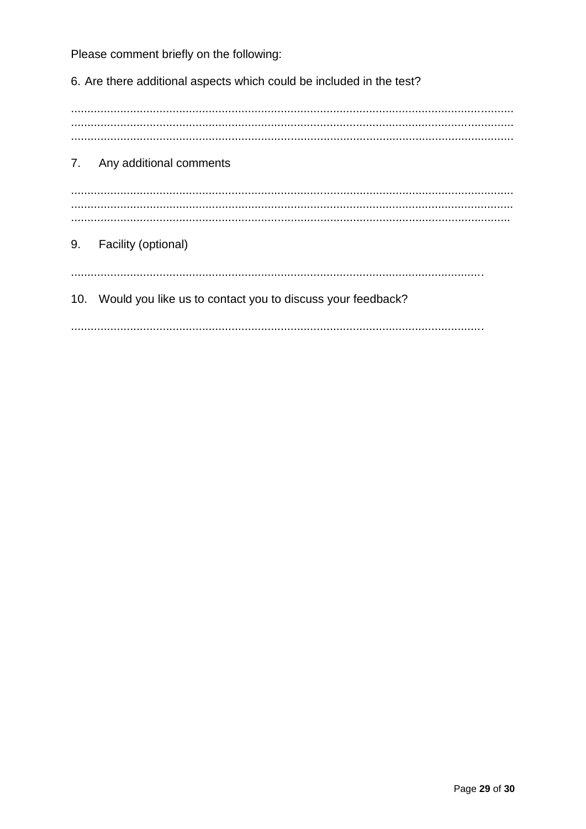Please comment briefly on the following:

6. Are there additional aspects which could be included in the test?  $7<sub>1</sub>$ Any additional comments 9. Facility (optional) 10. Would you like us to contact you to discuss your feedback?